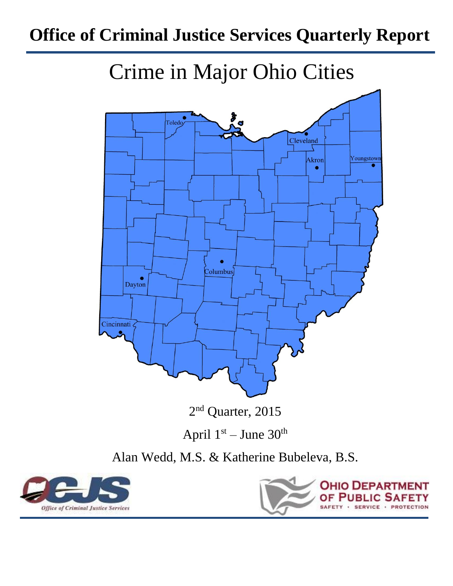# **Office of Criminal Justice Services Quarterly Report**





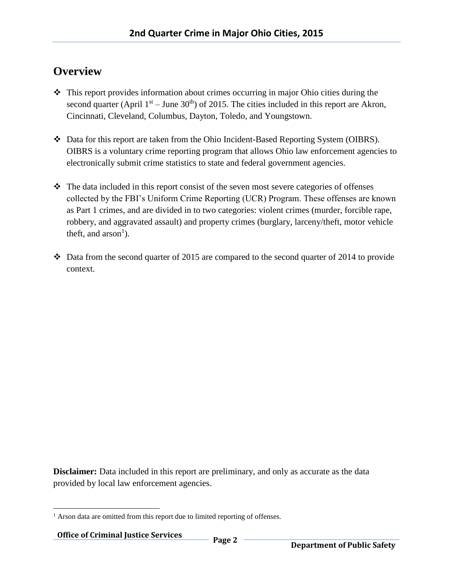#### **Overview**

- $\cdot \cdot$  This report provides information about crimes occurring in major Ohio cities during the second quarter (April  $1<sup>st</sup> - June 30<sup>th</sup>$ ) of 2015. The cities included in this report are Akron, Cincinnati, Cleveland, Columbus, Dayton, Toledo, and Youngstown.
- Data for this report are taken from the Ohio Incident-Based Reporting System (OIBRS). OIBRS is a voluntary crime reporting program that allows Ohio law enforcement agencies to electronically submit crime statistics to state and federal government agencies.
- The data included in this report consist of the seven most severe categories of offenses collected by the FBI's Uniform Crime Reporting (UCR) Program. These offenses are known as Part 1 crimes, and are divided in to two categories: violent crimes (murder, forcible rape, robbery, and aggravated assault) and property crimes (burglary, larceny/theft, motor vehicle theft, and  $arson<sup>1</sup>$ ).
- $\cdot$  Data from the second quarter of 2015 are compared to the second quarter of 2014 to provide context.

**Disclaimer:** Data included in this report are preliminary, and only as accurate as the data provided by local law enforcement agencies.

 $\overline{a}$ <sup>1</sup> Arson data are omitted from this report due to limited reporting of offenses.

**Office of Criminal Justice Services** Page 2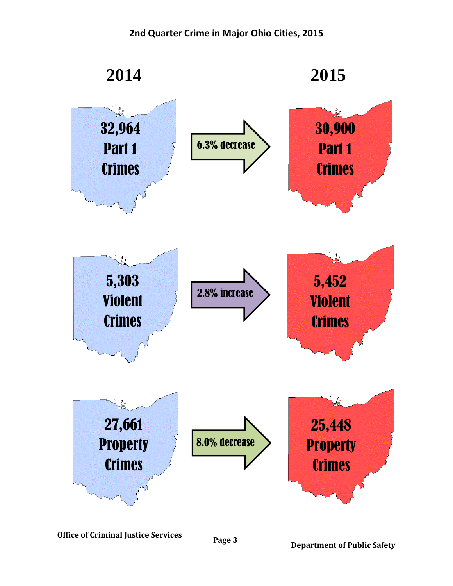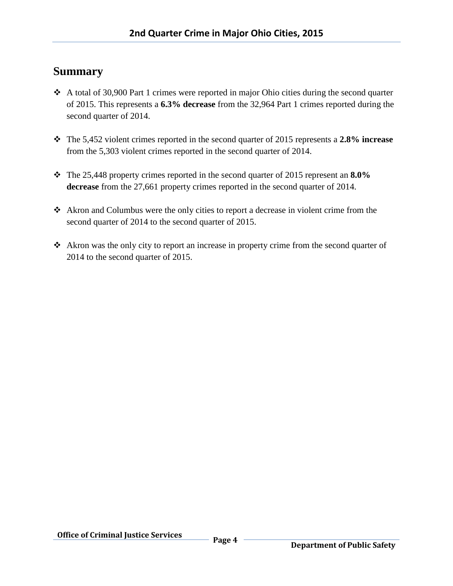#### **Summary**

- A total of 30,900 Part 1 crimes were reported in major Ohio cities during the second quarter of 2015. This represents a **6.3% decrease** from the 32,964 Part 1 crimes reported during the second quarter of 2014.
- The 5,452 violent crimes reported in the second quarter of 2015 represents a **2.8% increase** from the 5,303 violent crimes reported in the second quarter of 2014.
- The 25,448 property crimes reported in the second quarter of 2015 represent an **8.0% decrease** from the 27,661 property crimes reported in the second quarter of 2014.
- Akron and Columbus were the only cities to report a decrease in violent crime from the second quarter of 2014 to the second quarter of 2015.
- Akron was the only city to report an increase in property crime from the second quarter of 2014 to the second quarter of 2015.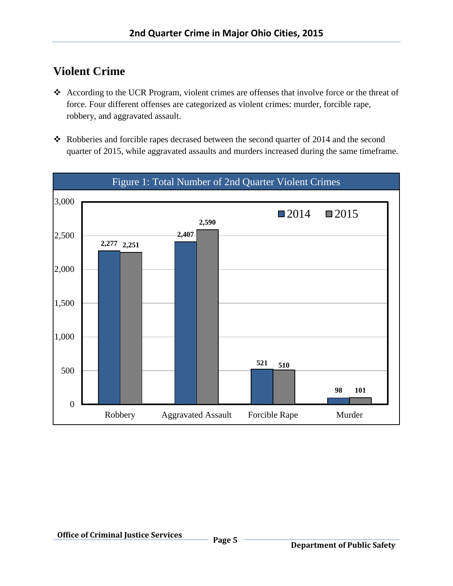### **Violent Crime**

- According to the UCR Program, violent crimes are offenses that involve force or the threat of force. Four different offenses are categorized as violent crimes: murder, forcible rape, robbery, and aggravated assault.
- \* Robberies and forcible rapes decrased between the second quarter of 2014 and the second quarter of 2015, while aggravated assaults and murders increased during the same timeframe.

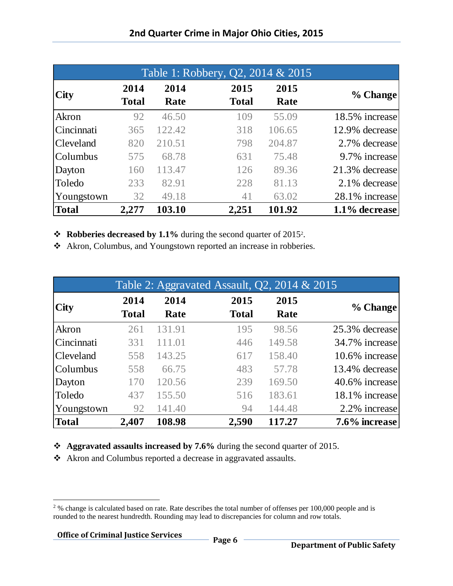| Table 1: Robbery, Q2, 2014 & 2015 |                      |              |                      |              |                  |  |
|-----------------------------------|----------------------|--------------|----------------------|--------------|------------------|--|
| $\bf City$                        | 2014<br><b>Total</b> | 2014<br>Rate | 2015<br><b>Total</b> | 2015<br>Rate | % Change         |  |
| Akron                             | 92                   | 46.50        | 109                  | 55.09        | 18.5% increase   |  |
| Cincinnati                        | 365                  | 122.42       | 318                  | 106.65       | 12.9% decrease   |  |
| <b>Cleveland</b>                  | 820                  | 210.51       | 798                  | 204.87       | 2.7% decrease    |  |
| Columbus                          | 575                  | 68.78        | 631                  | 75.48        | 9.7% increase    |  |
| Dayton                            | 160                  | 113.47       | 126                  | 89.36        | 21.3% decrease   |  |
| Toledo                            | 233                  | 82.91        | 228                  | 81.13        | 2.1% decrease    |  |
| Youngstown                        | 32                   | 49.18        | 41                   | 63.02        | 28.1% increase   |  |
| Total                             | 2,277                | 103.10       | 2,251                | 101.92       | $1.1\%$ decrease |  |

**❖** Robberies decreased by 1.1% during the second quarter of 2015<sup>2</sup>.

Akron, Columbus, and Youngstown reported an increase in robberies.

|                  |              |        | Table 2: Aggravated Assault, $Q2$ , $2014 \& 2015$ |        |                |
|------------------|--------------|--------|----------------------------------------------------|--------|----------------|
| <b>City</b>      | 2014         | 2014   | 2015                                               | 2015   |                |
|                  | <b>Total</b> | Rate   | <b>Total</b>                                       | Rate   | % Change       |
| Akron            | 261          | 131.91 | 195                                                | 98.56  | 25.3% decrease |
| Cincinnati       | 331          | 111.01 | 446                                                | 149.58 | 34.7% increase |
| <b>Cleveland</b> | 558          | 143.25 | 617                                                | 158.40 | 10.6% increase |
| Columbus         | 558          | 66.75  | 483                                                | 57.78  | 13.4% decrease |
| Dayton           | 170          | 120.56 | 239                                                | 169.50 | 40.6% increase |
| Toledo           | 437          | 155.50 | 516                                                | 183.61 | 18.1% increase |
| Youngstown       | 92           | 141.40 | 94                                                 | 144.48 | 2.2% increase  |
| Total            | 2,407        | 108.98 | 2,590                                              | 117.27 | 7.6% increase  |

**Aggravated assaults increased by 7.6%** during the second quarter of 2015.

Akron and Columbus reported a decrease in aggravated assaults.

l <sup>2</sup>% change is calculated based on rate. Rate describes the total number of offenses per 100,000 people and is rounded to the nearest hundredth. Rounding may lead to discrepancies for column and row totals.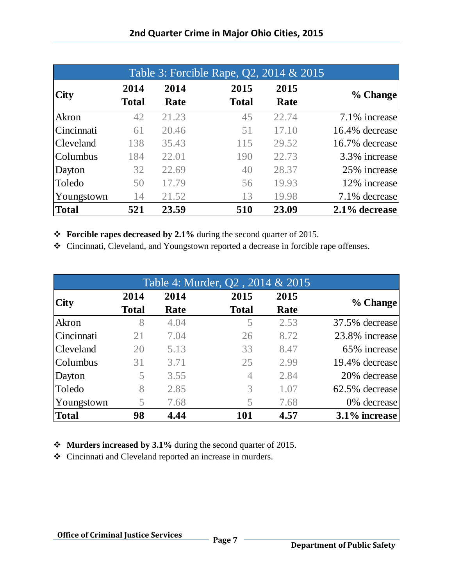| Table 3: Forcible Rape, Q2, 2014 & 2015 |                      |              |                      |              |                |  |
|-----------------------------------------|----------------------|--------------|----------------------|--------------|----------------|--|
| <b>City</b>                             | 2014<br><b>Total</b> | 2014<br>Rate | 2015<br><b>Total</b> | 2015<br>Rate | % Change       |  |
| Akron                                   | 42                   | 21.23        | 45                   | 22.74        | 7.1% increase  |  |
| Cincinnati                              | 61                   | 20.46        | 51                   | 17.10        | 16.4% decrease |  |
| Cleveland                               | 138                  | 35.43        | 115                  | 29.52        | 16.7% decrease |  |
| Columbus                                | 184                  | 22.01        | 190                  | 22.73        | 3.3% increase  |  |
| Dayton                                  | 32                   | 22.69        | 40                   | 28.37        | 25% increase   |  |
| Toledo                                  | 50                   | 17.79        | 56                   | 19.93        | 12% increase   |  |
| Youngstown                              | 14                   | 21.52        | 13                   | 19.98        | 7.1% decrease  |  |
| <b>Total</b>                            | 521                  | 23.59        | 510                  | 23.09        | 2.1% decrease  |  |

**Forcible rapes decreased by 2.1%** during the second quarter of 2015.

Cincinnati, Cleveland, and Youngstown reported a decrease in forcible rape offenses.

| Table 4: Murder, Q2, 2014 & 2015 |              |      |                |      |                |  |
|----------------------------------|--------------|------|----------------|------|----------------|--|
|                                  | 2014         | 2014 | 2015           | 2015 |                |  |
| <b>City</b>                      | <b>Total</b> | Rate | <b>Total</b>   | Rate | % Change       |  |
| Akron                            | 8            | 4.04 | 5              | 2.53 | 37.5% decrease |  |
| Cincinnati                       | 21           | 7.04 | 26             | 8.72 | 23.8% increase |  |
| Cleveland                        | 20           | 5.13 | 33             | 8.47 | 65% increase   |  |
| Columbus                         | 31           | 3.71 | 25             | 2.99 | 19.4% decrease |  |
| Dayton                           | 5            | 3.55 | $\overline{4}$ | 2.84 | 20% decrease   |  |
| Toledo                           | 8            | 2.85 | 3              | 1.07 | 62.5% decrease |  |
| Youngstown                       | 5            | 7.68 | 5              | 7.68 | 0% decrease    |  |
| Total                            | 98           | 4.44 | 101            | 4.57 | 3.1% increase  |  |
|                                  |              |      |                |      |                |  |

**Murders increased by 3.1%** during the second quarter of 2015.

Cincinnati and Cleveland reported an increase in murders.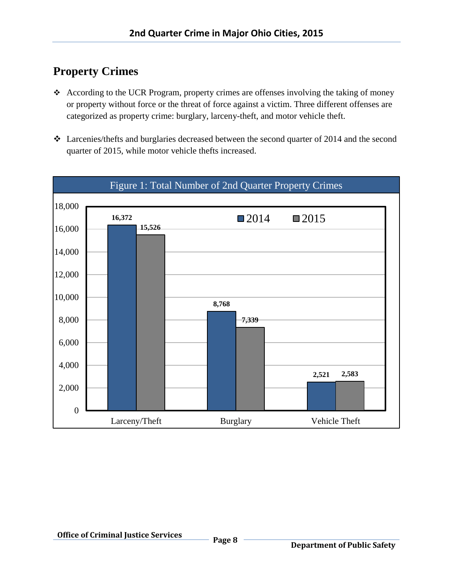## **Property Crimes**

- According to the UCR Program, property crimes are offenses involving the taking of money or property without force or the threat of force against a victim. Three different offenses are categorized as property crime: burglary, larceny-theft, and motor vehicle theft.
- Larcenies/thefts and burglaries decreased between the second quarter of 2014 and the second quarter of 2015, while motor vehicle thefts increased.

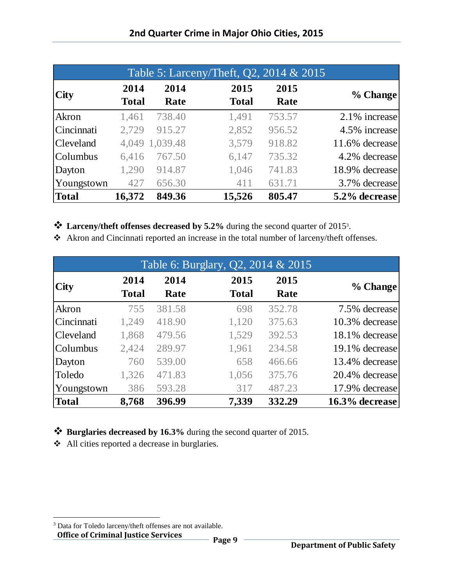|                          |                      |                | Table 5: Larceny/Theft, Q2, 2014 & 2015 |              |                |
|--------------------------|----------------------|----------------|-----------------------------------------|--------------|----------------|
| $\overline{\text{City}}$ | 2014<br><b>Total</b> | 2014<br>Rate   | 2015<br><b>Total</b>                    | 2015<br>Rate | % Change       |
| Akron                    | 1,461                | 738.40         | 1,491                                   | 753.57       | 2.1% increase  |
| Cincinnati               | 2,729                | 915.27         | 2,852                                   | 956.52       | 4.5% increase  |
| <b>Cleveland</b>         |                      | 4,049 1,039.48 | 3,579                                   | 918.82       | 11.6% decrease |
| Columbus                 | 6,416                | 767.50         | 6,147                                   | 735.32       | 4.2% decrease  |
| Dayton                   | 1,290                | 914.87         | 1,046                                   | 741.83       | 18.9% decrease |
| Youngstown               | 427                  | 656.30         | 411                                     | 631.71       | 3.7% decrease  |
| <b>Total</b>             | 16,372               | 849.36         | 15,526                                  | 805.47       | 5.2% decrease  |

**Larceny/theft offenses decreased by 5.2%** during the second quarter of 2015<sup>3</sup> .

Akron and Cincinnati reported an increase in the total number of larceny/theft offenses.

|             |              |        | Table 6: Burglary, Q2, 2014 & 2015 |        |                |
|-------------|--------------|--------|------------------------------------|--------|----------------|
| <b>City</b> | 2014         | 2014   | 2015                               | 2015   | % Change       |
|             | <b>Total</b> | Rate   | <b>Total</b>                       | Rate   |                |
| Akron       | 755          | 381.58 | 698                                | 352.78 | 7.5% decrease  |
| Cincinnati  | 1,249        | 418.90 | 1,120                              | 375.63 | 10.3% decrease |
| Cleveland   | 1,868        | 479.56 | 1,529                              | 392.53 | 18.1% decrease |
| Columbus    | 2,424        | 289.97 | 1,961                              | 234.58 | 19.1% decrease |
| Dayton      | 760          | 539.00 | 658                                | 466.66 | 13.4% decrease |
| Toledo      | 1,326        | 471.83 | 1,056                              | 375.76 | 20.4% decrease |
| Youngstown  | 386          | 593.28 | 317                                | 487.23 | 17.9% decrease |
| Total       | 8,768        | 396.99 | 7,339                              | 332.29 | 16.3% decrease |

**Burglaries decreased by 16.3%** during the second quarter of 2015.

All cities reported a decrease in burglaries.

**Office of Criminal Justice Services Page 9**  $\overline{\phantom{a}}$ <sup>3</sup> Data for Toledo larceny/theft offenses are not available.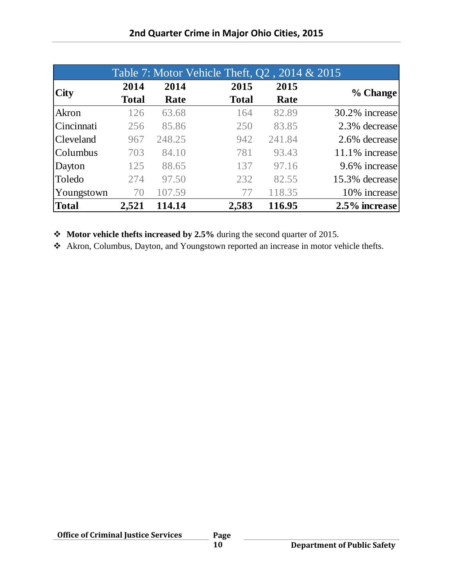|             |              |        | Table 7: Motor Vehicle Theft, $Q2$ , $2014 \& 2015$ |        |                |
|-------------|--------------|--------|-----------------------------------------------------|--------|----------------|
| <b>City</b> | 2014         | 2014   | 2015                                                | 2015   |                |
|             | <b>Total</b> | Rate   | <b>Total</b>                                        | Rate   | $%$ Change     |
| Akron       | 126          | 63.68  | 164                                                 | 82.89  | 30.2% increase |
| Cincinnati  | 256          | 85.86  | 250                                                 | 83.85  | 2.3% decrease  |
| Cleveland   | 967          | 248.25 | 942                                                 | 241.84 | 2.6% decrease  |
| Columbus    | 703          | 84.10  | 781                                                 | 93.43  | 11.1% increase |
| Dayton      | 125          | 88.65  | 137                                                 | 97.16  | 9.6% increase  |
| Toledo      | 274          | 97.50  | 232                                                 | 82.55  | 15.3% decrease |
| Youngstown  | 70           | 107.59 | 77                                                  | 118.35 | 10% increase   |
| Total       | 2,521        | 114.14 | 2,583                                               | 116.95 | 2.5% increase  |

**Motor vehicle thefts increased by 2.5%** during the second quarter of 2015.

Akron, Columbus, Dayton, and Youngstown reported an increase in motor vehicle thefts.